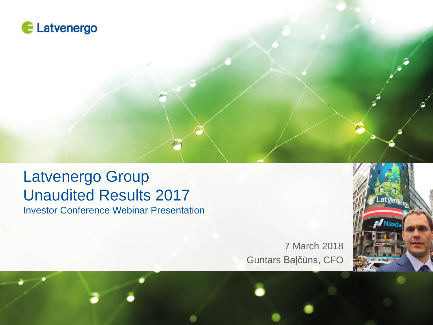

### Latvenergo Group Unaudited Results 2017 Investor Conference Webinar Presentation

7 March 2018 Guntars Baļčūns, CFO

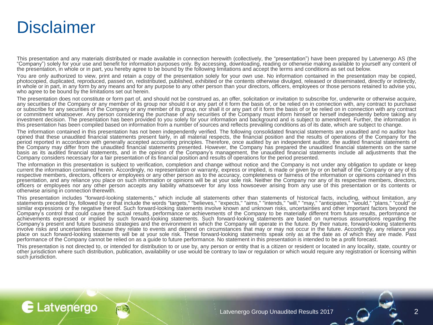# **Disclaimer**

E Latvenergo

This presentation and any materials distributed or made available in connection herewith (collectively, the "presentation") have been prepared by Latvenergo AS (the "Company") solely for your use and benefit for information purposes only. By accessing, downloading, reading or otherwise making available to yourself any content of the presentation, in whole or in part, you hereby agree to be bound by the following limitations and accept the terms and conditions as set out below.

You are only authorized to view, print and retain a copy of the presentation solely for your own use. No information contained in the presentation may be copied, photocopied, duplicated, reproduced, passed on, redistributed, published, exhibited or the contents otherwise divulged, released or disseminated, directly or indirectly, in whole or in part, in any form by any means and for any purpose to any other person than your directors, officers, employees or those persons retained to advise you, who agree to be bound by the limitations set out herein.

The presentation does not constitute or form part of, and should not be construed as, an offer, solicitation or invitation to subscribe for, underwrite or otherwise acquire, any securities of the Company or any member of its group nor should it or any part of it form the basis of, or be relied on in connection with, any contract to purchase or subscribe for any securities of the Company or any member of its group, nor shall it or any part of it form the basis of or be relied on in connection with any contract or commitment whatsoever. Any person considering the purchase of any securities of the Company must inform himself or herself independently before taking any investment decision. The presentation has been provided to you solely for your information and background and is subject to amendment. Further, the information in this presentation has been compiled based on information from a number of sources and reflects prevailing conditions as of its date, which are subject to change.

The information contained in this presentation has not been independently verified. The following consolidated financial statements are unaudited and no auditor has opined that these unaudited financial statements present fairly, in all material respects, the financial position and the results of operations of the Company for the period reported in accordance with generally accepted accounting principles. Therefore, once audited by an independent auditor, the audited financial statements of the Company may differ from the unaudited financial statements presented. However, the Company has prepared the unaudited financial statements on the same basis as its audited financial statements, and in the opinion of the Company's management, the unaudited financial statements include all adjustments that the Company considers necessary for a fair presentation of its financial position and results of operations for the period presented.

The information in this presentation is subject to verification, completion and change without notice and the Company is not under any obligation to update or keep current the information contained herein. Accordingly, no representation or warranty, express or implied, is made or given by or on behalf of the Company or any of its respective members, directors, officers or employees or any other person as to the accuracy, completeness or fairness of the information or opinions contained in this presentation, and any reliance you place on such information or opinions will be at your sole risk. Neither the Company nor any of its respective members, directors, officers or employees nor any other person accepts any liability whatsoever for any loss howsoever arising from any use of this presentation or its contents or otherwise arising in connection therewith.

This presentation includes "forward-looking statements," which include all statements other than statements of historical facts, including, without limitation, any statements preceded by, followed by or that include the words "targets," "believes," "expects," "aims," "intends," "will," "may," "anticipates," "would," "plans," "could" or similar expressions or the negative thereof. Such forward-looking statements involve known and unknown risks, uncertainties and other important factors beyond the Company's control that could cause the actual results, performance or achievements of the Company to be materially different from future results, performance or achievements expressed or implied by such forward-looking statements. Such forward-looking statements are based on numerous assumptions regarding the Company's present and future business strategies and the environment in which the Company will operate in the future. By their nature, forward-looking statements involve risks and uncertainties because they relate to events and depend on circumstances that may or may not occur in the future. Accordingly, any reliance you place on such forward-looking statements will be at your sole risk. These forward-looking statements speak only as at the date as of which they are made. Past performance of the Company cannot be relied on as a guide to future performance. No statement in this presentation is intended to be a profit forecast.

This presentation is not directed to, or intended for distribution to or use by, any person or entity that is a citizen or resident or located in any locality, state, country or other jurisdiction where such distribution, publication, availability or use would be contrary to law or regulation or which would require any registration or licensing within such jurisdiction.

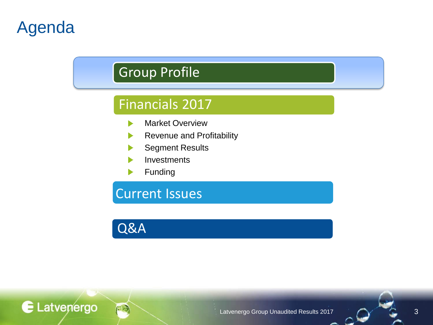# Agenda

# Group Profile

### Financials 2017

- Market Overview ▶
- Revenue and Profitability
- Segment Results
- **Investments**
- Funding

Current Issues

Q&A

E Latvenergo

Latvenergo Group Unaudited Results 2017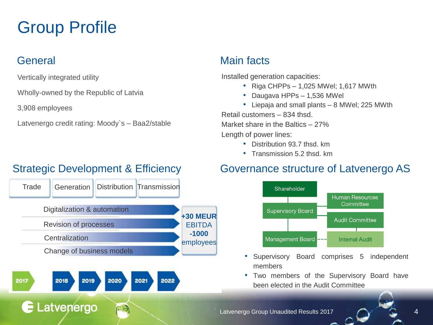# Group Profile

Vertically integrated utility

Wholly-owned by the Republic of Latvia

3,908 employees

Latvenergo credit rating: Moody`s – Baa2/stable

### Strategic Development & Efficiency



#### General Main facts

Installed generation capacities:

- Riga CHPPs 1,025 MWel; 1,617 MWth
- Daugava HPPs 1,536 MWel
- Liepaja and small plants 8 MWel; 225 MWth

Retail customers – 834 thsd. Market share in the Baltics – 27%

Length of power lines:

- Distribution 93.7 thsd. km
- Transmission 5.2 thsd. km

#### Governance structure of Latvenergo AS



- Supervisory Board comprises 5 independent members
- Two members of the Supervisory Board have been elected in the Audit Committee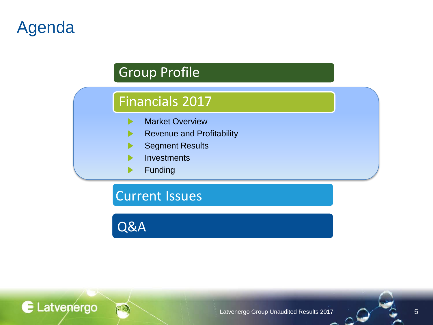# Agenda

## Group Profile

### Financials 2017

- Market Overview  $\blacktriangleright$
- Revenue and Profitability ▶
- Segment Results
- **Investments**
- Funding

Current Issues

Q&A

E Latvenergo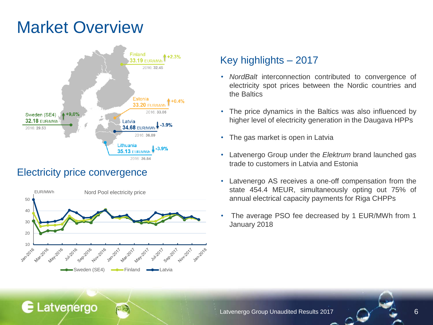# Market Overview



#### Electricity price convergence

E Latvenergo



#### Key highlights – 2017

- *NordBalt* interconnection contributed to convergence of electricity spot prices between the Nordic countries and the Baltics
- The price dynamics in the Baltics was also influenced by higher level of electricity generation in the Daugava HPPs
- The gas market is open in Latvia
- Latvenergo Group under the *Elektrum* brand launched gas trade to customers in Latvia and Estonia
- Latvenergo AS receives a one-off compensation from the state 454.4 MEUR, simultaneously opting out 75% of annual electrical capacity payments for Riga CHPPs
- The average PSO fee decreased by 1 EUR/MWh from 1 January 2018

Latvenergo Group Unaudited Results 2017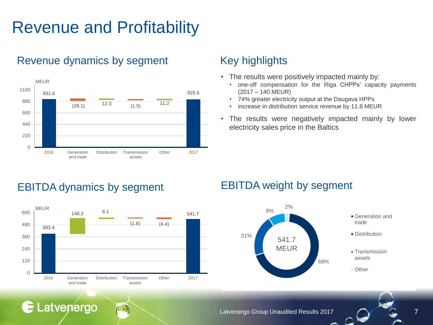# Revenue and Profitability

#### Revenue dynamics by segment Key highlights



- The results were positively impacted mainly by:
	- one-off compensation for the Riga CHPPs' capacity payments (2017 – 140 MEUR)
	- 74% greater electricity output at the Daugava HPPs
	- increase in distribution service revenue by 11.8 MEUR
- The results were negatively impacted mainly by lower electricity sales price in the Baltics

### EBITDA dynamics by segment EBITDA weight by segment

**E** Latvenergo





Latvenergo Group Unaudited Results 2017 **7**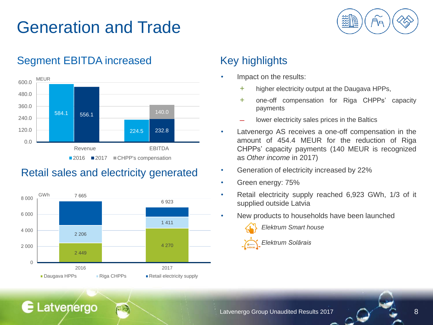# Generation and Trade



#### Segment EBITDA increased Key highlights



#### Retail sales and electricity generated



E Latvenergo

- Impact on the results:
	- + higher electricity output at the Daugava HPPs,
	- + one-off compensation for Riga CHPPs' capacity payments
	- lower electricity sales prices in the Baltics
- Latvenergo AS receives a one-off compensation in the amount of 454.4 MEUR for the reduction of Riga CHPPs' capacity payments (140 MEUR is recognized as *Other income* in 2017)
- Generation of electricity increased by 22%
- Green energy: 75%
- Retail electricity supply reached 6,923 GWh, 1/3 of it supplied outside Latvia
	- New products to households have been launched



*Elektrum Smart house*

#### *Elektrum Solārais*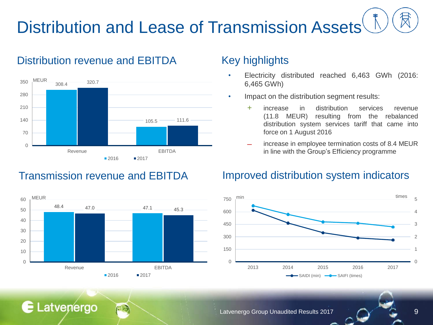# Distribution and Lease of Transmission Assets

#### Distribution revenue and EBITDA



#### Transmission revenue and EBITDA



E Latvenergo

#### Key highlights

- Electricity distributed reached 6,463 GWh (2016: 6,465 GWh)
- Impact on the distribution segment results:
	- + increase in distribution services revenue (11.8 MEUR) resulting from the rebalanced distribution system services tariff that came into force on 1 August 2016
	- ̶ increase in employee termination costs of 8.4 MEUR in line with the Group's Efficiency programme

#### Improved distribution system indicators



Latvenergo Group Unaudited Results 2017 19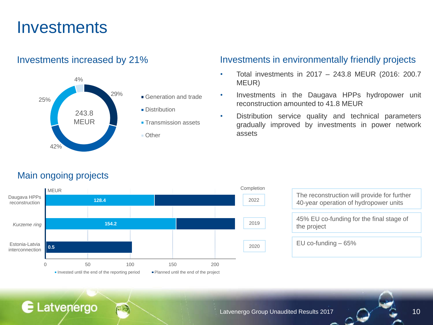# **Investments**



- Generation and trade
- **Distribution**
- **Transmission assets**
- Other

#### Investments increased by 21% Investments in environmentally friendly projects

- Total investments in 2017 243.8 MEUR (2016: 200.7 MEUR)
- Investments in the Daugava HPPs hydropower unit reconstruction amounted to 41.8 MEUR
- Distribution service quality and technical parameters gradually improved by investments in power network assets

#### Main ongoing projects

E Latvenergo



| The reconstruction will provide for further<br>40-year operation of hydropower units |
|--------------------------------------------------------------------------------------|
| 45% EU co-funding for the final stage of<br>the project                              |
| EU co-funding $-65%$                                                                 |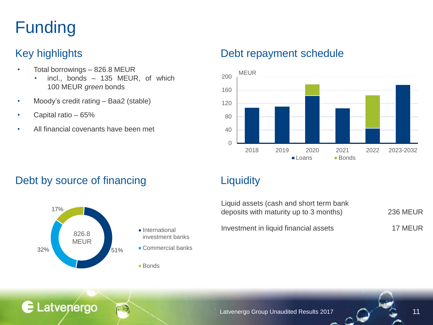# Funding

- Total borrowings 826.8 MEUR
	- incl., bonds 135 MEUR, of which 100 MEUR *green* bonds
- Moody's credit rating Baa2 (stable)
- Capital ratio 65%

E Latvenergo

• All financial covenants have been met

#### Key highlights **Debt repayment schedule**



#### Debt by source of financing The Liquidity



| Liquid assets (cash and short term bank<br>deposits with maturity up to 3 months) | <b>236 MEUR</b> |
|-----------------------------------------------------------------------------------|-----------------|
| Investment in liquid financial assets                                             | 17 MEUR         |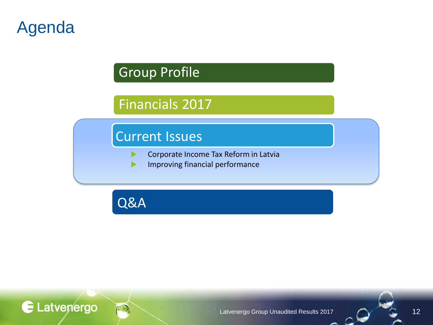# Agenda

E Latvenergo

## Group Profile

# Financials 2017

### Current Issues

- Corporate Income Tax Reform in Latvia ▶
- Improving financial performance $\blacktriangleright$

Q&A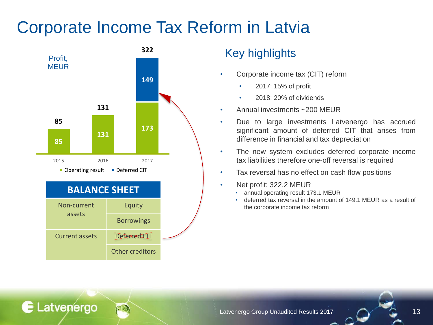# Corporate Income Tax Reform in Latvia



E Latvenergo

#### Key highlights

- Corporate income tax (CIT) reform
	- 2017: 15% of profit
	- 2018: 20% of dividends
- Annual investments ~200 MEUR
- Due to large investments Latvenergo has accrued significant amount of deferred CIT that arises from difference in financial and tax depreciation
- The new system excludes deferred corporate income tax liabilities therefore one-off reversal is required
- Tax reversal has no effect on cash flow positions
- Net profit: 322.2 MEUR
	- annual operating result 173.1 MEUR
	- deferred tax reversal in the amount of 149.1 MEUR as a result of the corporate income tax reform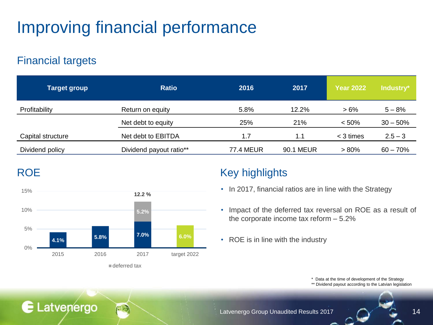# Improving financial performance

#### Financial targets

E Latvenergo

| <b>Target group</b> | <b>Ratio</b>            | 2016             | 2017             | <b>Year 2022</b> | Industry*  |
|---------------------|-------------------------|------------------|------------------|------------------|------------|
| Profitability       | Return on equity        | 5.8%             | 12.2%            | $>6\%$           | $5 - 8%$   |
|                     | Net debt to equity      | 25%              | 21%              | < 50%            | $30 - 50%$ |
| Capital structure   | Net debt to EBITDA      | 1.7              | 1.1              | $<$ 3 times      | $2.5 - 3$  |
| Dividend policy     | Dividend payout ratio** | <b>77.4 MEUR</b> | <b>90.1 MEUR</b> | $> 80\%$         | $60 - 70%$ |



deferred tax

### ROE Key highlights

- In 2017, financial ratios are in line with the Strategy
- Impact of the deferred tax reversal on ROE as a result of the corporate income tax reform – 5.2%
- ROE is in line with the industry

\* Data at the time of development of the Strategy

\*\* Dividend payout according to the Latvian legislation

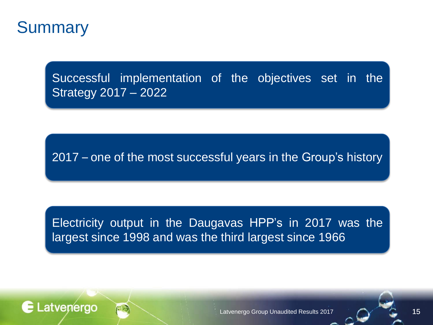

E Latvenergo

Successful implementation of the objectives set in the Strategy 2017 – 2022

2017 – one of the most successful years in the Group's history

Electricity output in the Daugavas HPP's in 2017 was the largest since 1998 and was the third largest since 1966

Latvenergo Group Unaudited Results 2017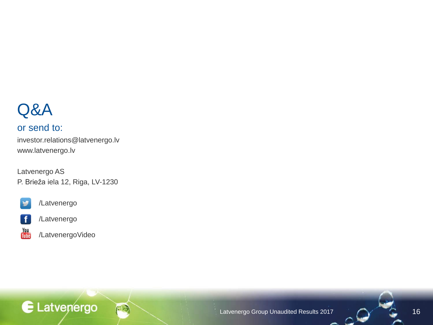# Q&A

#### or send to:

investor.relations@latvenergo.lv www.latvenergo.lv

Latvenergo AS P. Brieža iela 12, Riga, LV-1230



/Latvenergo



/Latvenergo



/LatvenergoVideo

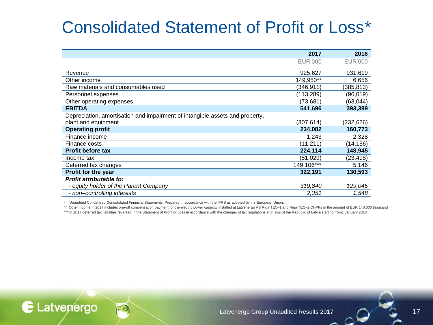# Consolidated Statement of Profit or Loss\*

|                                                                              | 2017       | 2016           |
|------------------------------------------------------------------------------|------------|----------------|
|                                                                              | EUR'000    | <b>EUR'000</b> |
| Revenue                                                                      | 925,627    | 931,619        |
| Other income                                                                 | 149.950**  | 6,656          |
| Raw materials and consumables used                                           | (346,911)  | (385,813)      |
| Personnel expenses                                                           | (113,289)  | (96,019)       |
| Other operating expenses                                                     | (73, 681)  | (63,044)       |
| <b>EBITDA</b>                                                                | 541,696    | 393,399        |
| Depreciation, amortisation and impairment of intangible assets and property, |            |                |
| plant and equipment                                                          | (307, 614) | (232,626)      |
| <b>Operating profit</b>                                                      | 234,082    | 160,773        |
| Finance income                                                               | 1,243      | 2,328          |
| Finance costs                                                                | (11, 211)  | (14,156)       |
| <b>Profit before tax</b>                                                     | 224,114    | 148,945        |
| Income tax                                                                   | (51, 029)  | (23,498)       |
| Deferred tax changes                                                         | 149,106*** | 5,146          |
| Profit for the year                                                          | 322,191    | 130,593        |
| Profit attributable to:                                                      |            |                |
| - equity holder of the Parent Company                                        | 319,840    | 129,045        |
| - non-controlling interests                                                  | 2,351      | 1,548          |

\* Unaudited Condensed Consolidated Financial Statements. Prepared in accordance with the IFRS as adopted by the European Union.

\*\* Other income in 2017 includes one-off compensation payment for the electric power capacity installed at Latvenergo AS Riga TEC–1 and Riga TEC–2 CHPPs in the amount of EUR 140,000 thousand

\*\*\* In 2017 deferred tax liabilities reversed in the Statement of Profit or Loss in accordance with the changes of tax regulations and laws of the Republic of Latvia starting from1 January 2018

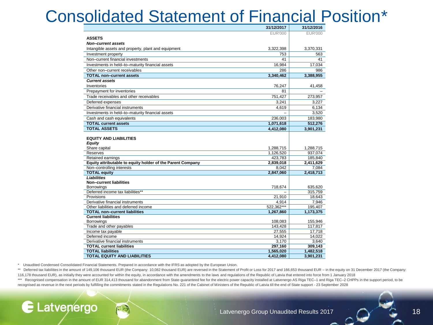# Consolidated Statement of Financial Position\*

|                                                            | 31/12/2017             | 31/12/2016           |
|------------------------------------------------------------|------------------------|----------------------|
|                                                            | <b>EUR'000</b>         | EUR'000              |
| <b>ASSETS</b>                                              |                        |                      |
| Non-current assets                                         |                        |                      |
| Intangible assets and property, plant and equipment        | 3,322,398              | 3,370,331            |
| Investment property                                        | 753                    | 563                  |
| Non-current financial investments                          | 41                     | 41                   |
| Investments in held-to-maturity financial assets           | 16,984                 | 17,034               |
| Other non-current receivables                              | 286                    | 986                  |
| <b>TOTAL non-current assets</b>                            | 3,340,462              | 3,388,955            |
| <b>Current assets</b>                                      |                        |                      |
| Inventories                                                | 76,247                 | 41,458               |
| Prepayment for inventories                                 | 81                     |                      |
| Trade receivables and other receivables                    | 751,427                | 273,957              |
| Deferred expenses                                          | 3.241                  | 3.227                |
| Derivative financial instruments                           | 4.619                  | 6,134                |
| Investments in held-to-maturity financial assets           |                        | 3.520                |
| Cash and cash equivalents                                  | 236,003                | 183,980              |
| <b>TOTAL current assets</b>                                | 1,071,618              | 512,276              |
| <b>TOTAL ASSETS</b>                                        | 4,412,080              | 3,901,231            |
| Share capital<br><b>Reserves</b>                           | 1,288,715<br>1.126.520 | 1,288,715<br>937.074 |
| Retained earnings                                          | 423.783                | 185,840              |
| Equity attributable to equity holder of the Parent Company | 2,839,018              | 2,411,629            |
| Non-controlling interests                                  | 8,042                  | 7,084                |
| <b>TOTAL equity</b>                                        | 2,847,060              | 2,418,713            |
| <b>Liabilities</b><br>Non-current liabilities              |                        |                      |
| <b>Borrowings</b>                                          | 718,674                | 635,620              |
| Deferred income tax liabilities**                          |                        | 315.759              |
| Provisions                                                 | 21,910                 | 18,643               |
| Derivative financial instruments                           | 4.914                  | 7.946                |
| Other liabilities and deferred income                      | 522.362***             | 195.407              |
| <b>TOTAL non-current liabilities</b>                       | 1,267,860              | 1,173,375            |
| <b>Current liabilities</b>                                 |                        |                      |
| <b>Borrowings</b>                                          | 108,083                | 155,946              |
| Trade and other payables                                   | 143.428                | 117.817              |
| Income tax payable                                         | 27,555                 | 17,718               |
| Deferred income                                            | 14,924                 | 14.022               |
| Derivative financial instruments                           | 3,170                  | 3,640                |
| <b>TOTAL current liabilities</b>                           | 297,160                | 309,143              |
| <b>TOTAL liabilities</b>                                   | 1,565,020              | 1,482,518            |
| <b>TOTAL EQUITY AND LIABILITIES</b>                        | 4,412,080              | 3,901,231            |

\* Unaudited Condensed Consolidated Financial Statements. Prepared in accordance with the IFRS as adopted by the European Union.

E Latvenergo

\*\* Deferred tax liabilities in the amount of 149,106 thousand EUR (the Company: 10,082 thousand EUR) are reversed in the Statement of Profit or Loss for 2017 and 166,653 thousand EUR - in the equity on 31 December 2017 (th 116,178 thousand EUR), as initially they were accounted for within the equity, in accordance with the amendments to the laws and regulations of the Republic of Latvia that entered into force from 1 January 2018

\*\*\* Recognised compensation in the amount of EUR 314,413 thousand for abandonment from State-quaranteed fee for the electric power capacity installed at Latvenergo AS Riga TEC-1 and Riga TEC-2 CHPPs in the support period, recognised as revenue in the next periods by fulfilling the commitments stated in the Regulations No. 221 of the Cabinet of Ministers of the Republic of Latvia till the end of State support - 23 September 2028